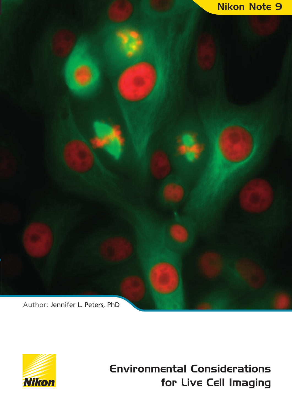



**Environmental Considerations for Live Cell Imaging**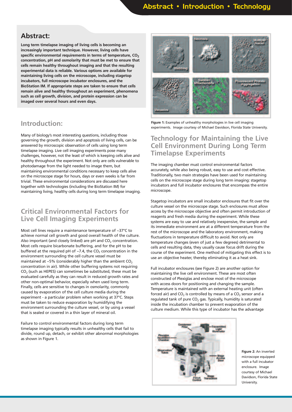## **Abstract:**

**Long term timelapse imaging of living cells is becoming an increasingly important technique. However, living cells have specific environmental requirements in terms of temperature, CO2 concentration, pH and osmolarity that must be met to ensure that cells remain healthy throughout imaging and that the resulting experimental data is reliable. Various options are available for maintaining living cells on the microscope, including stagetop incubators, full microscope incubator enclosures, and the BioStation IM. If appropriate steps are taken to ensure that cells remain alive and healthy throughout an experiment, phenomena such as cell growth, division, and protein expression can be imaged over several hours and even days.**

## **Introduction:**

Many of biology's most interesting questions, including those governing the growth, division and apoptosis of living cells, can be answered by microscopic observation of cells using long term timelapse imaging. Live cell imaging experiments pose many challenges, however, not the least of which is keeping cells alive and healthy throughout the experiment. Not only are cells vulnerable to photodamage from the light needed to image them, but maintaining environmental conditions necessary to keep cells alive on the microscope stage for hours, days or even weeks is far from trivial. These environmental considerations are discussed here together with technologies (including the BioStation IM) for maintaining living, healthy cells during long term timelapse imaging.

## **Critical Environmental Factors for Live Cell Imaging Experiments**

Most cell lines require a maintenance temperature of ~37°C to achieve normal cell growth and good overall health of the culture. Also important (and closely linked) are pH and  $CO<sub>2</sub>$  concentration. Most cells require bicarbonate buffering, and for the pH to be buffered at the required pH of  $\sim$ 7.4, the CO<sub>2</sub> concentration in the environment surrounding the cell culture vessel must be maintained at ~5% (considerably higher than the ambient  $CO<sub>2</sub>$ concentration in air). While other buffering systems not requiring  $CO<sub>2</sub>$  (such as HEPES) can sometimes be substituted, these must be evaluated carefully as they can result in reduced growth rates and other non-optimal behavior, especially when used long term. Finally, cells are sensitive to changes in osmolarity, commonly caused by evaporation of the cell culture media during the experiment - a particular problem when working at 37°C. Steps must be taken to reduce evaporation by humidifying the environment surrounding the culture vessel, or by using a vessel that is sealed or covered in a thin layer of mineral oil.

Failure to control environmental factors during long term timelapse imaging typically results in unhealthy cells that fail to divide, round up, detach, or exhibit other abnormal morphologies as shown in Figure 1.



**Figure 1:** Examples of unhealthy morphologies in live cell imaging experiments. Image courtesy of Michael Davidson, Florida State University.

## **Technology for Maintaining the Live Cell Environment During Long Term Timelapse Experiments**

The imaging chamber must control environmental factors accurately, while also being robust, easy to use and cost effective. Traditionally, two main strategies have been used for maintaining cells on the microscope stage during long term imaging: stagetop incubators and full incubator enclosures that encompass the entire microscope.

Stagetop incubators are small incubator enclosures that fit over the culture vessel on the microscope stage. Such enclosures must allow access by the microscope objective and often permit introduction of reagents and fresh media during the experiment. While these systems are easy to use and relatively inexpensive, the sample and its immediate environment are at a different temperature from the rest of the microscope and the laboratory environment, making fluctuations in temperature difficult to avoid. Not only are temperature changes (even of just a few degrees) detrimental to cells and resulting data, they usually cause focus drift during the course of the experiment. One method of mitigating this effect is to use an objective heater, thereby eliminating it as a heat sink.

Full incubator enclosures (see Figure 2) are another option for maintaining the live cell environment. These are most often constructed of Plexiglas and enclose most of the microscope with access doors for positioning and changing the sample. Temperature is maintained with an external heating unit (often forced air) and CO<sub>2</sub> is controlled by means of a CO<sub>2</sub> sensor and a regulated tank of pure  $CO<sub>2</sub>$  gas. Typically, humidity is saturated inside the incubation chamber to prevent evaporation of the culture medium. While this type of incubator has the advantage



**Figure 2:** An inverted microscope equipped with a full incubator enclosure. Image courtesy of Michael Davidson, Florida State University.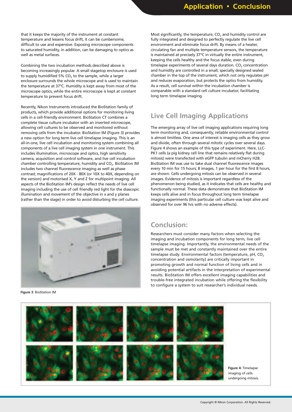that it keeps the majority of the instrument at constant temperature and lessens focus drift, it can be cumbersome, difficult to use and expensive. Exposing microscope components to saturated humidity, in addition, can be damaging to optics as well as metal surfaces.

Combining the two incubation methods described above is becoming increasingly popular. A small stagetop enclosure is used to supply humidified 5%  $CO<sub>2</sub>$  to the sample, while a larger enclosure surrounds the whole microscope and is used to maintain the temperature at 37°C. Humidity is kept away from most of the microscope optics, while the entire microscope is kept at constant temperature to prevent focus drift.

Recently, Nikon Instruments introduced the BioStation family of products, which provide additional options for monitoring living cells in a cell-friendly environment. BioStation CT combines a complete tissue culture incubator with an inverted microscope, allowing cell cultures to be observed and monitored without removing cells from the incubator. BioStation IM (Figure 3) provides a new option for long term live cell timelapse imaging. This is an all-in-one, live cell incubation and monitoring system combining all components of a live cell imaging system in one instrument. This includes illumination, microscope and optics, high sensitivity camera, acquisition and control software, and live cell incubation chamber controlling temperature, humidity and  $CO<sub>2</sub>$ . BioStation IM includes two channel fluorescence imaging as well as phase contrast; magnifications of 20X - 80X (or 10X to 40X, depending on the version) and motorised X, Y and Z for multipoint imaging. All aspects of the BioStation IM's design reflect the needs of live cell imaging including the use of cell friendly red light for the diascopic illumination and movement of the objective in x and y planes (rather than the stage) in order to avoid disturbing the cell culture.



**Figure 3**: BioStation IM

Most significantly, the temperature,  $CO<sub>2</sub>$  and humidity control are fully integrated and designed to perfectly regulate the live cell environment and eliminate focus drift. By means of a heater, circulating fan and multiple temperature sensors, the temperature is maintained at precisely 37°C in virtually the entire instrument, keeping the cells healthy and the focus stable, even during timelapse experiments of several days duration.  $CO<sub>2</sub>$  concentration and humidity are controlled in a small, specially designed sealed chamber in the top of the instrument, which not only regulates pH and reduces evaporation, but protects the optics from humidity. As a result, cell survival within the incubation chamber is comparable with a standard cell culture incubator, facilitating long term timelapse imaging.

# **Live Cell Imaging Applications**

The emerging array of live cell imaging applications requiring long term monitoring and, consequently, reliable environmental control is almost limitless. One area of interest is imaging cells as they grow and divide, often through several mitotic cycles over several days. Figure 4 shows an example of this type of experiment. Here, LLC-PK1 cells (a pig kidney cell line that remains relatively flat during mitosis) were transfected with eGFP tubulin and mCherry H2B. BioStation IM was use to take dual channel fluorescence images every 10 min for 15 hours; 8 images, 1 per hour for the first 8 hours, are shown. Cells undergoing mitosis can be observed in several images. Evidence of mitosis is important regardless of the phenomenon being studied, as it indicates that cells are healthy and functionally normal. These data demonstrate that BioStation IM keeps cells alive and in focus throughout long term timelapse imaging experiments (this particular cell culture was kept alive and observed for over 96 hrs with no adverse effects).

## **Conclusion:**

Researchers must consider many factors when selecting the imaging and incubation components for long term, live cell timelapse imaging. Importantly, the environmental needs of the sample must be met and constantly maintained over the entire timelapse study. Environmental factors (temperature, pH,  $CO<sub>2</sub>$ concentration and osmolarity) are critically important in promoting growth and normal function of living cells and in avoiding potential artifacts in the interpretation of experimental results. BioStation IM offers excellent imaging capabilities and trouble-free integrated incubation while offering the flexibility to configure a system to suit researcher's individual needs.